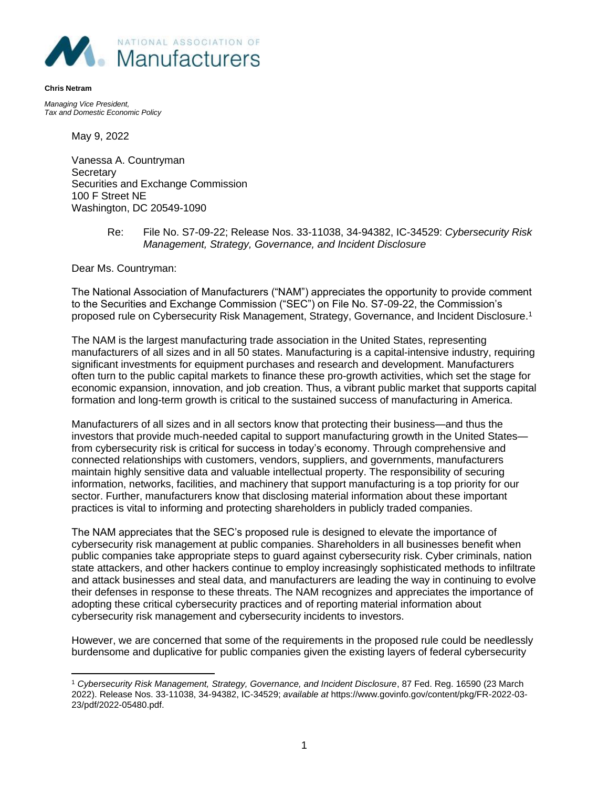

**Chris Netram**

*Managing Vice President, Tax and Domestic Economic Policy* 

May 9, 2022

Vanessa A. Countryman **Secretary** Securities and Exchange Commission 100 F Street NE Washington, DC 20549-1090

### Re: File No. S7-09-22; Release Nos. 33-11038, 34-94382, IC-34529: *Cybersecurity Risk Management, Strategy, Governance, and Incident Disclosure*

Dear Ms. Countryman:

The National Association of Manufacturers ("NAM") appreciates the opportunity to provide comment to the Securities and Exchange Commission ("SEC") on File No. S7-09-22, the Commission's proposed rule on Cybersecurity Risk Management, Strategy, Governance, and Incident Disclosure.<sup>1</sup>

The NAM is the largest manufacturing trade association in the United States, representing manufacturers of all sizes and in all 50 states. Manufacturing is a capital-intensive industry, requiring significant investments for equipment purchases and research and development. Manufacturers often turn to the public capital markets to finance these pro-growth activities, which set the stage for economic expansion, innovation, and job creation. Thus, a vibrant public market that supports capital formation and long-term growth is critical to the sustained success of manufacturing in America.

Manufacturers of all sizes and in all sectors know that protecting their business—and thus the investors that provide much-needed capital to support manufacturing growth in the United States from cybersecurity risk is critical for success in today's economy. Through comprehensive and connected relationships with customers, vendors, suppliers, and governments, manufacturers maintain highly sensitive data and valuable intellectual property. The responsibility of securing information, networks, facilities, and machinery that support manufacturing is a top priority for our sector. Further, manufacturers know that disclosing material information about these important practices is vital to informing and protecting shareholders in publicly traded companies.

The NAM appreciates that the SEC's proposed rule is designed to elevate the importance of cybersecurity risk management at public companies. Shareholders in all businesses benefit when public companies take appropriate steps to guard against cybersecurity risk. Cyber criminals, nation state attackers, and other hackers continue to employ increasingly sophisticated methods to infiltrate and attack businesses and steal data, and manufacturers are leading the way in continuing to evolve their defenses in response to these threats. The NAM recognizes and appreciates the importance of adopting these critical cybersecurity practices and of reporting material information about cybersecurity risk management and cybersecurity incidents to investors.

However, we are concerned that some of the requirements in the proposed rule could be needlessly burdensome and duplicative for public companies given the existing layers of federal cybersecurity

<sup>1</sup> *Cybersecurity Risk Management, Strategy, Governance, and Incident Disclosure*, 87 Fed. Reg. 16590 (23 March 2022). Release Nos. 33-11038, 34-94382, IC-34529; *available at* https://www.govinfo.gov/content/pkg/FR-2022-03- 23/pdf/2022-05480.pdf.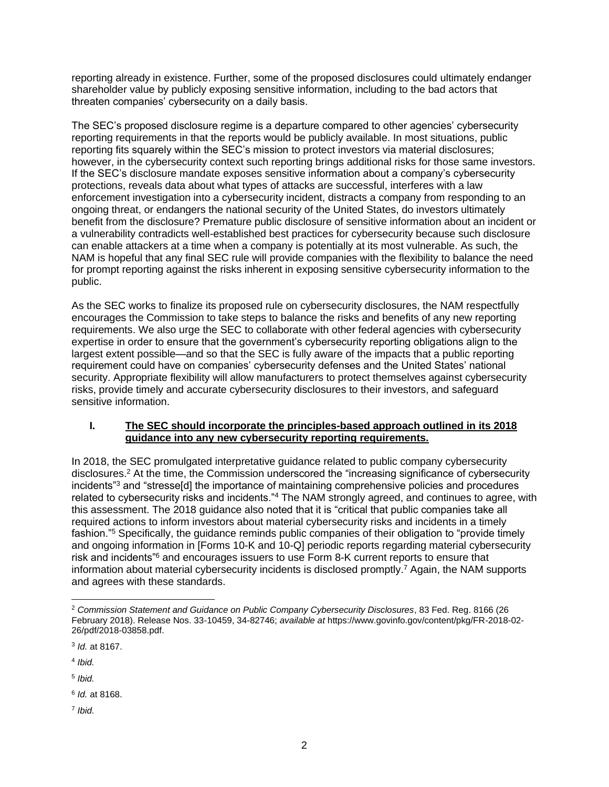reporting already in existence. Further, some of the proposed disclosures could ultimately endanger shareholder value by publicly exposing sensitive information, including to the bad actors that threaten companies' cybersecurity on a daily basis.

The SEC's proposed disclosure regime is a departure compared to other agencies' cybersecurity reporting requirements in that the reports would be publicly available. In most situations, public reporting fits squarely within the SEC's mission to protect investors via material disclosures; however, in the cybersecurity context such reporting brings additional risks for those same investors. If the SEC's disclosure mandate exposes sensitive information about a company's cybersecurity protections, reveals data about what types of attacks are successful, interferes with a law enforcement investigation into a cybersecurity incident, distracts a company from responding to an ongoing threat, or endangers the national security of the United States, do investors ultimately benefit from the disclosure? Premature public disclosure of sensitive information about an incident or a vulnerability contradicts well-established best practices for cybersecurity because such disclosure can enable attackers at a time when a company is potentially at its most vulnerable. As such, the NAM is hopeful that any final SEC rule will provide companies with the flexibility to balance the need for prompt reporting against the risks inherent in exposing sensitive cybersecurity information to the public.

As the SEC works to finalize its proposed rule on cybersecurity disclosures, the NAM respectfully encourages the Commission to take steps to balance the risks and benefits of any new reporting requirements. We also urge the SEC to collaborate with other federal agencies with cybersecurity expertise in order to ensure that the government's cybersecurity reporting obligations align to the largest extent possible—and so that the SEC is fully aware of the impacts that a public reporting requirement could have on companies' cybersecurity defenses and the United States' national security. Appropriate flexibility will allow manufacturers to protect themselves against cybersecurity risks, provide timely and accurate cybersecurity disclosures to their investors, and safeguard sensitive information.

# **I. The SEC should incorporate the principles-based approach outlined in its 2018 guidance into any new cybersecurity reporting requirements.**

In 2018, the SEC promulgated interpretative guidance related to public company cybersecurity disclosures.<sup>2</sup> At the time, the Commission underscored the "increasing significance of cybersecurity incidents"<sup>3</sup> and "stresse[d] the importance of maintaining comprehensive policies and procedures related to cybersecurity risks and incidents."<sup>4</sup> The NAM strongly agreed, and continues to agree, with this assessment. The 2018 guidance also noted that it is "critical that public companies take all required actions to inform investors about material cybersecurity risks and incidents in a timely fashion."<sup>5</sup> Specifically, the guidance reminds public companies of their obligation to "provide timely and ongoing information in [Forms 10-K and 10-Q] periodic reports regarding material cybersecurity risk and incidents"<sup>6</sup> and encourages issuers to use Form 8-K current reports to ensure that information about material cybersecurity incidents is disclosed promptly.<sup>7</sup> Again, the NAM supports and agrees with these standards.

4 *Ibid.*

5 *Ibid.*

6 *Id.* at 8168.

7 *Ibid.*

<sup>2</sup> *Commission Statement and Guidance on Public Company Cybersecurity Disclosures*, 83 Fed. Reg. 8166 (26 February 2018). Release Nos. 33-10459, 34-82746; *available at* https://www.govinfo.gov/content/pkg/FR-2018-02- 26/pdf/2018-03858.pdf.

<sup>3</sup> *Id.* at 8167.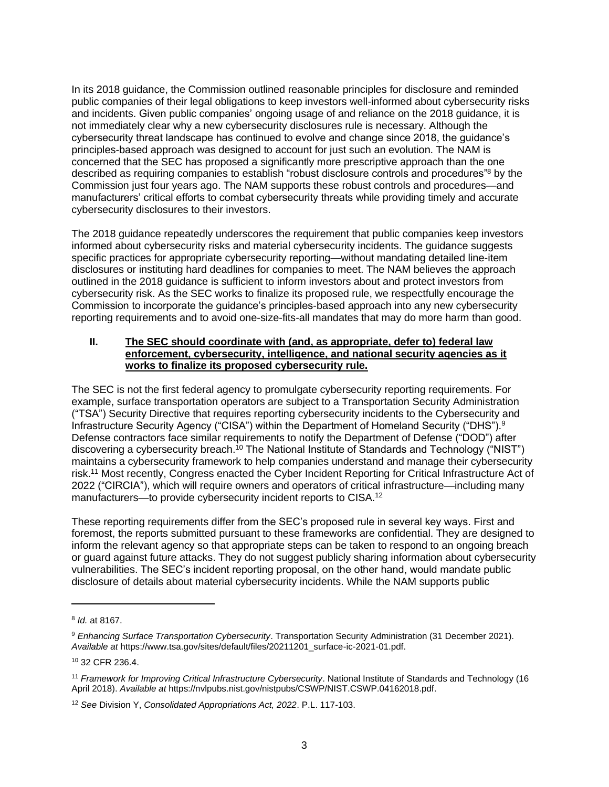In its 2018 guidance, the Commission outlined reasonable principles for disclosure and reminded public companies of their legal obligations to keep investors well-informed about cybersecurity risks and incidents. Given public companies' ongoing usage of and reliance on the 2018 guidance, it is not immediately clear why a new cybersecurity disclosures rule is necessary. Although the cybersecurity threat landscape has continued to evolve and change since 2018, the guidance's principles-based approach was designed to account for just such an evolution. The NAM is concerned that the SEC has proposed a significantly more prescriptive approach than the one described as requiring companies to establish "robust disclosure controls and procedures"<sup>8</sup> by the Commission just four years ago. The NAM supports these robust controls and procedures—and manufacturers' critical efforts to combat cybersecurity threats while providing timely and accurate cybersecurity disclosures to their investors.

The 2018 guidance repeatedly underscores the requirement that public companies keep investors informed about cybersecurity risks and material cybersecurity incidents. The guidance suggests specific practices for appropriate cybersecurity reporting—without mandating detailed line-item disclosures or instituting hard deadlines for companies to meet. The NAM believes the approach outlined in the 2018 guidance is sufficient to inform investors about and protect investors from cybersecurity risk. As the SEC works to finalize its proposed rule, we respectfully encourage the Commission to incorporate the guidance's principles-based approach into any new cybersecurity reporting requirements and to avoid one-size-fits-all mandates that may do more harm than good.

#### **II. The SEC should coordinate with (and, as appropriate, defer to) federal law enforcement, cybersecurity, intelligence, and national security agencies as it works to finalize its proposed cybersecurity rule.**

The SEC is not the first federal agency to promulgate cybersecurity reporting requirements. For example, surface transportation operators are subject to a Transportation Security Administration ("TSA") Security Directive that requires reporting cybersecurity incidents to the Cybersecurity and Infrastructure Security Agency ("CISA") within the Department of Homeland Security ("DHS").<sup>9</sup> Defense contractors face similar requirements to notify the Department of Defense ("DOD") after discovering a cybersecurity breach.<sup>10</sup> The National Institute of Standards and Technology ("NIST") maintains a cybersecurity framework to help companies understand and manage their cybersecurity risk.<sup>11</sup> Most recently, Congress enacted the Cyber Incident Reporting for Critical Infrastructure Act of 2022 ("CIRCIA"), which will require owners and operators of critical infrastructure—including many manufacturers—to provide cybersecurity incident reports to CISA.<sup>12</sup>

These reporting requirements differ from the SEC's proposed rule in several key ways. First and foremost, the reports submitted pursuant to these frameworks are confidential. They are designed to inform the relevant agency so that appropriate steps can be taken to respond to an ongoing breach or guard against future attacks. They do not suggest publicly sharing information about cybersecurity vulnerabilities. The SEC's incident reporting proposal, on the other hand, would mandate public disclosure of details about material cybersecurity incidents. While the NAM supports public

<sup>8</sup> *Id.* at 8167.

<sup>9</sup> *Enhancing Surface Transportation Cybersecurity*. Transportation Security Administration (31 December 2021). *Available at* https://www.tsa.gov/sites/default/files/20211201\_surface-ic-2021-01.pdf.

<sup>10</sup> 32 CFR 236.4.

<sup>11</sup> *Framework for Improving Critical Infrastructure Cybersecurity*. National Institute of Standards and Technology (16 April 2018). *Available at* https://nvlpubs.nist.gov/nistpubs/CSWP/NIST.CSWP.04162018.pdf.

<sup>12</sup> *See* Division Y, *Consolidated Appropriations Act, 2022*. P.L. 117-103.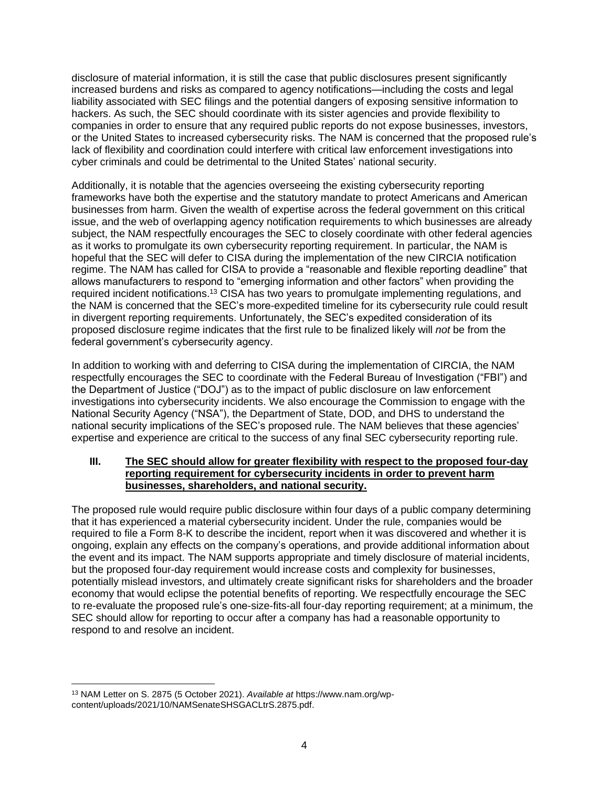disclosure of material information, it is still the case that public disclosures present significantly increased burdens and risks as compared to agency notifications—including the costs and legal liability associated with SEC filings and the potential dangers of exposing sensitive information to hackers. As such, the SEC should coordinate with its sister agencies and provide flexibility to companies in order to ensure that any required public reports do not expose businesses, investors, or the United States to increased cybersecurity risks. The NAM is concerned that the proposed rule's lack of flexibility and coordination could interfere with critical law enforcement investigations into cyber criminals and could be detrimental to the United States' national security.

Additionally, it is notable that the agencies overseeing the existing cybersecurity reporting frameworks have both the expertise and the statutory mandate to protect Americans and American businesses from harm. Given the wealth of expertise across the federal government on this critical issue, and the web of overlapping agency notification requirements to which businesses are already subject, the NAM respectfully encourages the SEC to closely coordinate with other federal agencies as it works to promulgate its own cybersecurity reporting requirement. In particular, the NAM is hopeful that the SEC will defer to CISA during the implementation of the new CIRCIA notification regime. The NAM has called for CISA to provide a "reasonable and flexible reporting deadline" that allows manufacturers to respond to "emerging information and other factors" when providing the required incident notifications.<sup>13</sup> CISA has two years to promulgate implementing regulations, and the NAM is concerned that the SEC's more-expedited timeline for its cybersecurity rule could result in divergent reporting requirements. Unfortunately, the SEC's expedited consideration of its proposed disclosure regime indicates that the first rule to be finalized likely will *not* be from the federal government's cybersecurity agency.

In addition to working with and deferring to CISA during the implementation of CIRCIA, the NAM respectfully encourages the SEC to coordinate with the Federal Bureau of Investigation ("FBI") and the Department of Justice ("DOJ") as to the impact of public disclosure on law enforcement investigations into cybersecurity incidents. We also encourage the Commission to engage with the National Security Agency ("NSA"), the Department of State, DOD, and DHS to understand the national security implications of the SEC's proposed rule. The NAM believes that these agencies' expertise and experience are critical to the success of any final SEC cybersecurity reporting rule.

# **III. The SEC should allow for greater flexibility with respect to the proposed four-day reporting requirement for cybersecurity incidents in order to prevent harm businesses, shareholders, and national security.**

The proposed rule would require public disclosure within four days of a public company determining that it has experienced a material cybersecurity incident. Under the rule, companies would be required to file a Form 8-K to describe the incident, report when it was discovered and whether it is ongoing, explain any effects on the company's operations, and provide additional information about the event and its impact. The NAM supports appropriate and timely disclosure of material incidents, but the proposed four-day requirement would increase costs and complexity for businesses, potentially mislead investors, and ultimately create significant risks for shareholders and the broader economy that would eclipse the potential benefits of reporting. We respectfully encourage the SEC to re-evaluate the proposed rule's one-size-fits-all four-day reporting requirement; at a minimum, the SEC should allow for reporting to occur after a company has had a reasonable opportunity to respond to and resolve an incident.

<sup>13</sup> NAM Letter on S. 2875 (5 October 2021). *Available at* https://www.nam.org/wpcontent/uploads/2021/10/NAMSenateSHSGACLtrS.2875.pdf.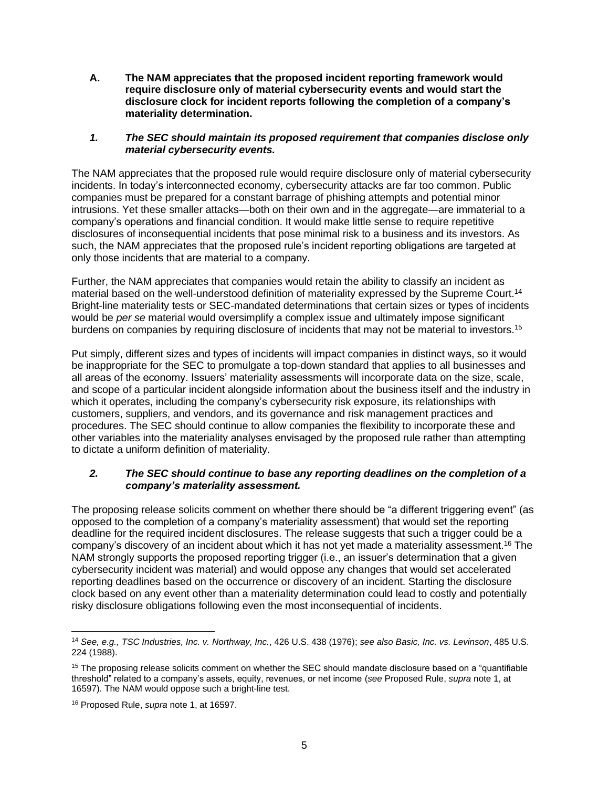**A. The NAM appreciates that the proposed incident reporting framework would require disclosure only of material cybersecurity events and would start the disclosure clock for incident reports following the completion of a company's materiality determination.**

### *1. The SEC should maintain its proposed requirement that companies disclose only material cybersecurity events.*

The NAM appreciates that the proposed rule would require disclosure only of material cybersecurity incidents. In today's interconnected economy, cybersecurity attacks are far too common. Public companies must be prepared for a constant barrage of phishing attempts and potential minor intrusions. Yet these smaller attacks—both on their own and in the aggregate—are immaterial to a company's operations and financial condition. It would make little sense to require repetitive disclosures of inconsequential incidents that pose minimal risk to a business and its investors. As such, the NAM appreciates that the proposed rule's incident reporting obligations are targeted at only those incidents that are material to a company.

Further, the NAM appreciates that companies would retain the ability to classify an incident as material based on the well-understood definition of materiality expressed by the Supreme Court.<sup>14</sup> Bright-line materiality tests or SEC-mandated determinations that certain sizes or types of incidents would be *per se* material would oversimplify a complex issue and ultimately impose significant burdens on companies by requiring disclosure of incidents that may not be material to investors.<sup>15</sup>

Put simply, different sizes and types of incidents will impact companies in distinct ways, so it would be inappropriate for the SEC to promulgate a top-down standard that applies to all businesses and all areas of the economy. Issuers' materiality assessments will incorporate data on the size, scale, and scope of a particular incident alongside information about the business itself and the industry in which it operates, including the company's cybersecurity risk exposure, its relationships with customers, suppliers, and vendors, and its governance and risk management practices and procedures. The SEC should continue to allow companies the flexibility to incorporate these and other variables into the materiality analyses envisaged by the proposed rule rather than attempting to dictate a uniform definition of materiality.

# *2. The SEC should continue to base any reporting deadlines on the completion of a company's materiality assessment.*

The proposing release solicits comment on whether there should be "a different triggering event" (as opposed to the completion of a company's materiality assessment) that would set the reporting deadline for the required incident disclosures. The release suggests that such a trigger could be a company's discovery of an incident about which it has not yet made a materiality assessment.<sup>16</sup> The NAM strongly supports the proposed reporting trigger (i.e., an issuer's determination that a given cybersecurity incident was material) and would oppose any changes that would set accelerated reporting deadlines based on the occurrence or discovery of an incident. Starting the disclosure clock based on any event other than a materiality determination could lead to costly and potentially risky disclosure obligations following even the most inconsequential of incidents.

<sup>14</sup> *See, e.g., TSC Industries, Inc. v. Northway, Inc.*, 426 U.S. 438 (1976); *see also Basic, Inc. vs. Levinson*, 485 U.S. 224 (1988).

<sup>&</sup>lt;sup>15</sup> The proposing release solicits comment on whether the SEC should mandate disclosure based on a "quantifiable" threshold" related to a company's assets, equity, revenues, or net income (*see* Proposed Rule, *supra* note 1, at 16597). The NAM would oppose such a bright-line test.

<sup>16</sup> Proposed Rule, *supra* note 1, at 16597.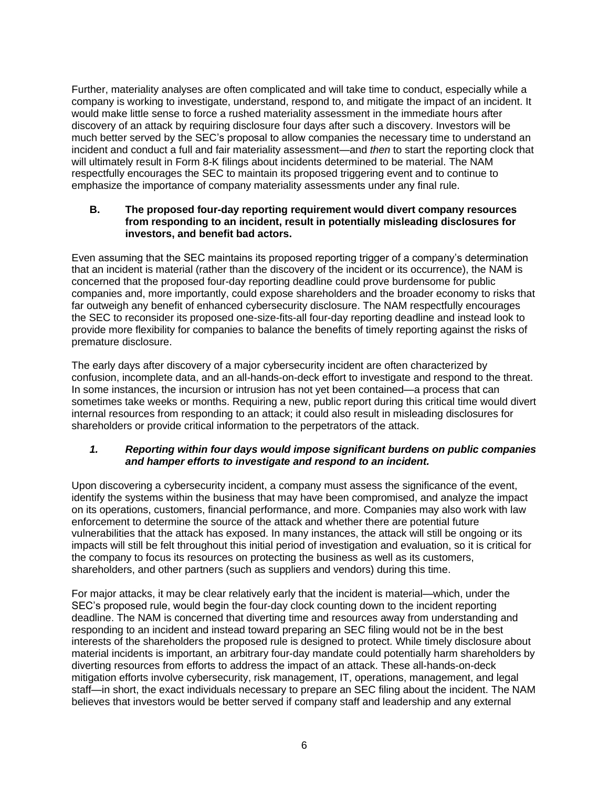Further, materiality analyses are often complicated and will take time to conduct, especially while a company is working to investigate, understand, respond to, and mitigate the impact of an incident. It would make little sense to force a rushed materiality assessment in the immediate hours after discovery of an attack by requiring disclosure four days after such a discovery. Investors will be much better served by the SEC's proposal to allow companies the necessary time to understand an incident and conduct a full and fair materiality assessment—and *then* to start the reporting clock that will ultimately result in Form 8-K filings about incidents determined to be material. The NAM respectfully encourages the SEC to maintain its proposed triggering event and to continue to emphasize the importance of company materiality assessments under any final rule.

### **B. The proposed four-day reporting requirement would divert company resources from responding to an incident, result in potentially misleading disclosures for investors, and benefit bad actors.**

Even assuming that the SEC maintains its proposed reporting trigger of a company's determination that an incident is material (rather than the discovery of the incident or its occurrence), the NAM is concerned that the proposed four-day reporting deadline could prove burdensome for public companies and, more importantly, could expose shareholders and the broader economy to risks that far outweigh any benefit of enhanced cybersecurity disclosure. The NAM respectfully encourages the SEC to reconsider its proposed one-size-fits-all four-day reporting deadline and instead look to provide more flexibility for companies to balance the benefits of timely reporting against the risks of premature disclosure.

The early days after discovery of a major cybersecurity incident are often characterized by confusion, incomplete data, and an all-hands-on-deck effort to investigate and respond to the threat. In some instances, the incursion or intrusion has not yet been contained—a process that can sometimes take weeks or months. Requiring a new, public report during this critical time would divert internal resources from responding to an attack; it could also result in misleading disclosures for shareholders or provide critical information to the perpetrators of the attack.

# *1. Reporting within four days would impose significant burdens on public companies and hamper efforts to investigate and respond to an incident.*

Upon discovering a cybersecurity incident, a company must assess the significance of the event, identify the systems within the business that may have been compromised, and analyze the impact on its operations, customers, financial performance, and more. Companies may also work with law enforcement to determine the source of the attack and whether there are potential future vulnerabilities that the attack has exposed. In many instances, the attack will still be ongoing or its impacts will still be felt throughout this initial period of investigation and evaluation, so it is critical for the company to focus its resources on protecting the business as well as its customers, shareholders, and other partners (such as suppliers and vendors) during this time.

For major attacks, it may be clear relatively early that the incident is material—which, under the SEC's proposed rule, would begin the four-day clock counting down to the incident reporting deadline. The NAM is concerned that diverting time and resources away from understanding and responding to an incident and instead toward preparing an SEC filing would not be in the best interests of the shareholders the proposed rule is designed to protect. While timely disclosure about material incidents is important, an arbitrary four-day mandate could potentially harm shareholders by diverting resources from efforts to address the impact of an attack. These all-hands-on-deck mitigation efforts involve cybersecurity, risk management, IT, operations, management, and legal staff—in short, the exact individuals necessary to prepare an SEC filing about the incident. The NAM believes that investors would be better served if company staff and leadership and any external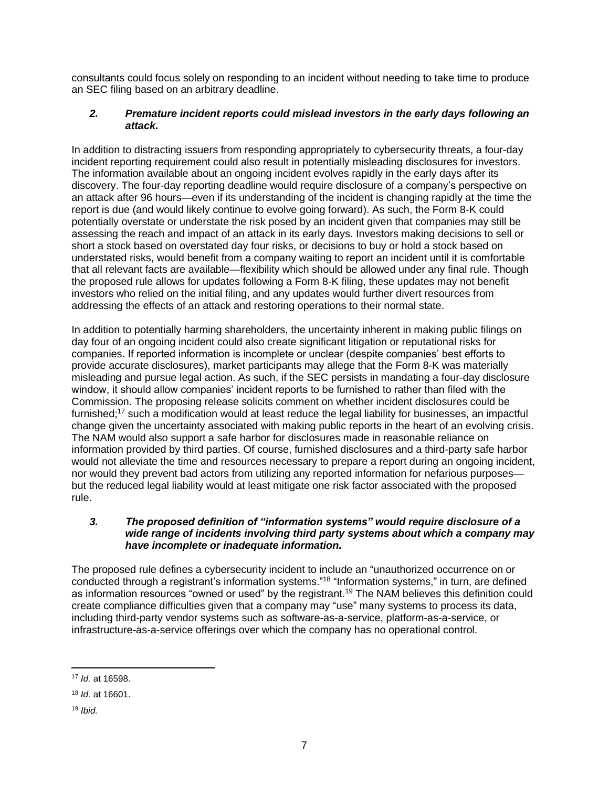consultants could focus solely on responding to an incident without needing to take time to produce an SEC filing based on an arbitrary deadline.

# *2. Premature incident reports could mislead investors in the early days following an attack.*

In addition to distracting issuers from responding appropriately to cybersecurity threats, a four-day incident reporting requirement could also result in potentially misleading disclosures for investors. The information available about an ongoing incident evolves rapidly in the early days after its discovery. The four-day reporting deadline would require disclosure of a company's perspective on an attack after 96 hours—even if its understanding of the incident is changing rapidly at the time the report is due (and would likely continue to evolve going forward). As such, the Form 8-K could potentially overstate or understate the risk posed by an incident given that companies may still be assessing the reach and impact of an attack in its early days. Investors making decisions to sell or short a stock based on overstated day four risks, or decisions to buy or hold a stock based on understated risks, would benefit from a company waiting to report an incident until it is comfortable that all relevant facts are available—flexibility which should be allowed under any final rule. Though the proposed rule allows for updates following a Form 8-K filing, these updates may not benefit investors who relied on the initial filing, and any updates would further divert resources from addressing the effects of an attack and restoring operations to their normal state.

In addition to potentially harming shareholders, the uncertainty inherent in making public filings on day four of an ongoing incident could also create significant litigation or reputational risks for companies. If reported information is incomplete or unclear (despite companies' best efforts to provide accurate disclosures), market participants may allege that the Form 8-K was materially misleading and pursue legal action. As such, if the SEC persists in mandating a four-day disclosure window, it should allow companies' incident reports to be furnished to rather than filed with the Commission. The proposing release solicits comment on whether incident disclosures could be furnished;<sup>17</sup> such a modification would at least reduce the legal liability for businesses, an impactful change given the uncertainty associated with making public reports in the heart of an evolving crisis. The NAM would also support a safe harbor for disclosures made in reasonable reliance on information provided by third parties. Of course, furnished disclosures and a third-party safe harbor would not alleviate the time and resources necessary to prepare a report during an ongoing incident, nor would they prevent bad actors from utilizing any reported information for nefarious purposes but the reduced legal liability would at least mitigate one risk factor associated with the proposed rule.

# *3. The proposed definition of "information systems" would require disclosure of a wide range of incidents involving third party systems about which a company may have incomplete or inadequate information.*

The proposed rule defines a cybersecurity incident to include an "unauthorized occurrence on or conducted through a registrant's information systems."<sup>18</sup> "Information systems," in turn, are defined as information resources "owned or used" by the registrant.<sup>19</sup> The NAM believes this definition could create compliance difficulties given that a company may "use" many systems to process its data, including third-party vendor systems such as software-as-a-service, platform-as-a-service, or infrastructure-as-a-service offerings over which the company has no operational control.

<sup>17</sup> *Id.* at 16598.

<sup>18</sup> *Id.* at 16601.

<sup>19</sup> *Ibid.*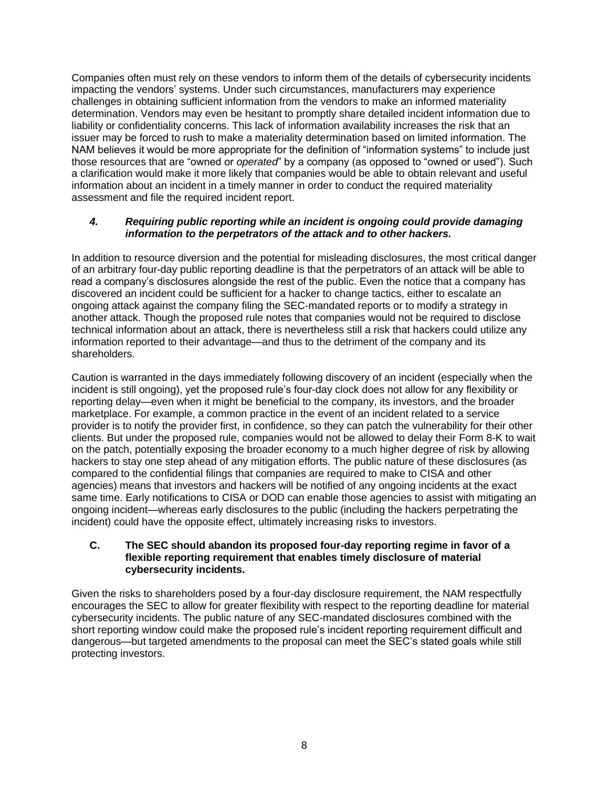Companies often must rely on these vendors to inform them of the details of cybersecurity incidents impacting the vendors' systems. Under such circumstances, manufacturers may experience challenges in obtaining sufficient information from the vendors to make an informed materiality determination. Vendors may even be hesitant to promptly share detailed incident information due to liability or confidentiality concerns. This lack of information availability increases the risk that an issuer may be forced to rush to make a materiality determination based on limited information. The NAM believes it would be more appropriate for the definition of "information systems" to include just those resources that are "owned or *operated*" by a company (as opposed to "owned or used"). Such a clarification would make it more likely that companies would be able to obtain relevant and useful information about an incident in a timely manner in order to conduct the required materiality assessment and file the required incident report.

# *4. Requiring public reporting while an incident is ongoing could provide damaging information to the perpetrators of the attack and to other hackers.*

In addition to resource diversion and the potential for misleading disclosures, the most critical danger of an arbitrary four-day public reporting deadline is that the perpetrators of an attack will be able to read a company's disclosures alongside the rest of the public. Even the notice that a company has discovered an incident could be sufficient for a hacker to change tactics, either to escalate an ongoing attack against the company filing the SEC-mandated reports or to modify a strategy in another attack. Though the proposed rule notes that companies would not be required to disclose technical information about an attack, there is nevertheless still a risk that hackers could utilize any information reported to their advantage—and thus to the detriment of the company and its shareholders.

Caution is warranted in the days immediately following discovery of an incident (especially when the incident is still ongoing), yet the proposed rule's four-day clock does not allow for any flexibility or reporting delay—even when it might be beneficial to the company, its investors, and the broader marketplace. For example, a common practice in the event of an incident related to a service provider is to notify the provider first, in confidence, so they can patch the vulnerability for their other clients. But under the proposed rule, companies would not be allowed to delay their Form 8-K to wait on the patch, potentially exposing the broader economy to a much higher degree of risk by allowing hackers to stay one step ahead of any mitigation efforts. The public nature of these disclosures (as compared to the confidential filings that companies are required to make to CISA and other agencies) means that investors and hackers will be notified of any ongoing incidents at the exact same time. Early notifications to CISA or DOD can enable those agencies to assist with mitigating an ongoing incident—whereas early disclosures to the public (including the hackers perpetrating the incident) could have the opposite effect, ultimately increasing risks to investors.

#### **C. The SEC should abandon its proposed four-day reporting regime in favor of a flexible reporting requirement that enables timely disclosure of material cybersecurity incidents.**

Given the risks to shareholders posed by a four-day disclosure requirement, the NAM respectfully encourages the SEC to allow for greater flexibility with respect to the reporting deadline for material cybersecurity incidents. The public nature of any SEC-mandated disclosures combined with the short reporting window could make the proposed rule's incident reporting requirement difficult and dangerous—but targeted amendments to the proposal can meet the SEC's stated goals while still protecting investors.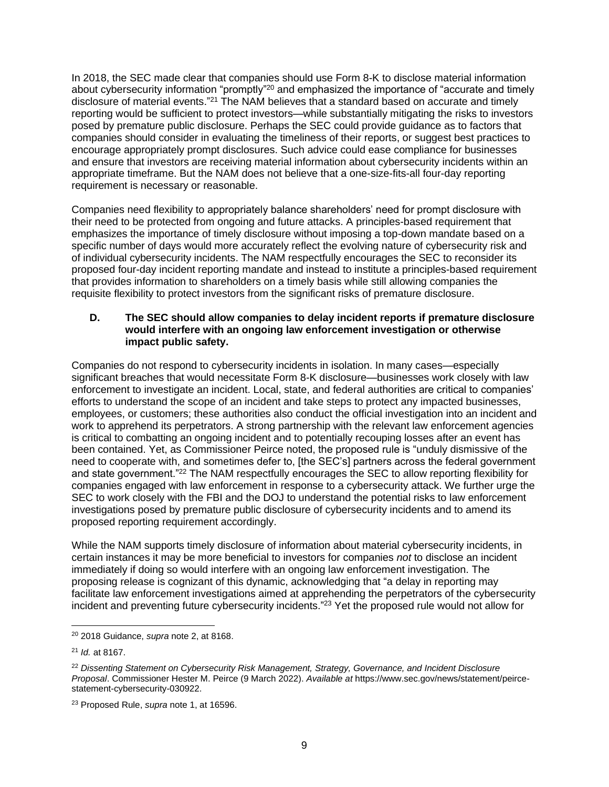In 2018, the SEC made clear that companies should use Form 8-K to disclose material information about cybersecurity information "promptly"<sup>20</sup> and emphasized the importance of "accurate and timely disclosure of material events."<sup>21</sup> The NAM believes that a standard based on accurate and timely reporting would be sufficient to protect investors—while substantially mitigating the risks to investors posed by premature public disclosure. Perhaps the SEC could provide guidance as to factors that companies should consider in evaluating the timeliness of their reports, or suggest best practices to encourage appropriately prompt disclosures. Such advice could ease compliance for businesses and ensure that investors are receiving material information about cybersecurity incidents within an appropriate timeframe. But the NAM does not believe that a one-size-fits-all four-day reporting requirement is necessary or reasonable.

Companies need flexibility to appropriately balance shareholders' need for prompt disclosure with their need to be protected from ongoing and future attacks. A principles-based requirement that emphasizes the importance of timely disclosure without imposing a top-down mandate based on a specific number of days would more accurately reflect the evolving nature of cybersecurity risk and of individual cybersecurity incidents. The NAM respectfully encourages the SEC to reconsider its proposed four-day incident reporting mandate and instead to institute a principles-based requirement that provides information to shareholders on a timely basis while still allowing companies the requisite flexibility to protect investors from the significant risks of premature disclosure.

#### **D. The SEC should allow companies to delay incident reports if premature disclosure would interfere with an ongoing law enforcement investigation or otherwise impact public safety.**

Companies do not respond to cybersecurity incidents in isolation. In many cases—especially significant breaches that would necessitate Form 8-K disclosure—businesses work closely with law enforcement to investigate an incident. Local, state, and federal authorities are critical to companies' efforts to understand the scope of an incident and take steps to protect any impacted businesses, employees, or customers; these authorities also conduct the official investigation into an incident and work to apprehend its perpetrators. A strong partnership with the relevant law enforcement agencies is critical to combatting an ongoing incident and to potentially recouping losses after an event has been contained. Yet, as Commissioner Peirce noted, the proposed rule is "unduly dismissive of the need to cooperate with, and sometimes defer to, [the SEC's] partners across the federal government and state government."<sup>22</sup> The NAM respectfully encourages the SEC to allow reporting flexibility for companies engaged with law enforcement in response to a cybersecurity attack. We further urge the SEC to work closely with the FBI and the DOJ to understand the potential risks to law enforcement investigations posed by premature public disclosure of cybersecurity incidents and to amend its proposed reporting requirement accordingly.

While the NAM supports timely disclosure of information about material cybersecurity incidents, in certain instances it may be more beneficial to investors for companies *not* to disclose an incident immediately if doing so would interfere with an ongoing law enforcement investigation. The proposing release is cognizant of this dynamic, acknowledging that "a delay in reporting may facilitate law enforcement investigations aimed at apprehending the perpetrators of the cybersecurity incident and preventing future cybersecurity incidents."<sup>23</sup> Yet the proposed rule would not allow for

<sup>20</sup> 2018 Guidance, *supra* note 2, at 8168.

<sup>21</sup> *Id.* at 8167.

<sup>22</sup> *Dissenting Statement on Cybersecurity Risk Management, Strategy, Governance, and Incident Disclosure Proposal*. Commissioner Hester M. Peirce (9 March 2022). *Available at* https://www.sec.gov/news/statement/peircestatement-cybersecurity-030922.

<sup>23</sup> Proposed Rule, *supra* note 1, at 16596.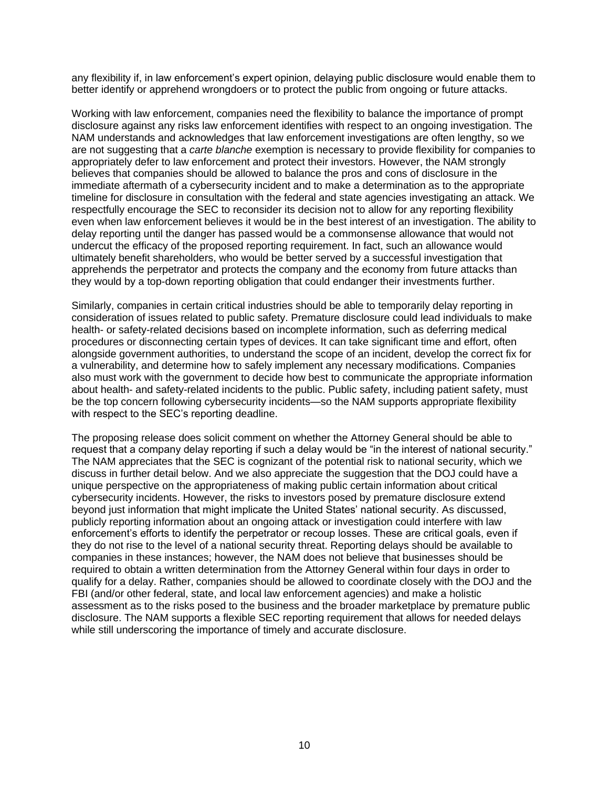any flexibility if, in law enforcement's expert opinion, delaying public disclosure would enable them to better identify or apprehend wrongdoers or to protect the public from ongoing or future attacks.

Working with law enforcement, companies need the flexibility to balance the importance of prompt disclosure against any risks law enforcement identifies with respect to an ongoing investigation. The NAM understands and acknowledges that law enforcement investigations are often lengthy, so we are not suggesting that a *carte blanche* exemption is necessary to provide flexibility for companies to appropriately defer to law enforcement and protect their investors. However, the NAM strongly believes that companies should be allowed to balance the pros and cons of disclosure in the immediate aftermath of a cybersecurity incident and to make a determination as to the appropriate timeline for disclosure in consultation with the federal and state agencies investigating an attack. We respectfully encourage the SEC to reconsider its decision not to allow for any reporting flexibility even when law enforcement believes it would be in the best interest of an investigation. The ability to delay reporting until the danger has passed would be a commonsense allowance that would not undercut the efficacy of the proposed reporting requirement. In fact, such an allowance would ultimately benefit shareholders, who would be better served by a successful investigation that apprehends the perpetrator and protects the company and the economy from future attacks than they would by a top-down reporting obligation that could endanger their investments further.

Similarly, companies in certain critical industries should be able to temporarily delay reporting in consideration of issues related to public safety. Premature disclosure could lead individuals to make health- or safety-related decisions based on incomplete information, such as deferring medical procedures or disconnecting certain types of devices. It can take significant time and effort, often alongside government authorities, to understand the scope of an incident, develop the correct fix for a vulnerability, and determine how to safely implement any necessary modifications. Companies also must work with the government to decide how best to communicate the appropriate information about health- and safety-related incidents to the public. Public safety, including patient safety, must be the top concern following cybersecurity incidents—so the NAM supports appropriate flexibility with respect to the SEC's reporting deadline.

The proposing release does solicit comment on whether the Attorney General should be able to request that a company delay reporting if such a delay would be "in the interest of national security." The NAM appreciates that the SEC is cognizant of the potential risk to national security, which we discuss in further detail below. And we also appreciate the suggestion that the DOJ could have a unique perspective on the appropriateness of making public certain information about critical cybersecurity incidents. However, the risks to investors posed by premature disclosure extend beyond just information that might implicate the United States' national security. As discussed, publicly reporting information about an ongoing attack or investigation could interfere with law enforcement's efforts to identify the perpetrator or recoup losses. These are critical goals, even if they do not rise to the level of a national security threat. Reporting delays should be available to companies in these instances; however, the NAM does not believe that businesses should be required to obtain a written determination from the Attorney General within four days in order to qualify for a delay. Rather, companies should be allowed to coordinate closely with the DOJ and the FBI (and/or other federal, state, and local law enforcement agencies) and make a holistic assessment as to the risks posed to the business and the broader marketplace by premature public disclosure. The NAM supports a flexible SEC reporting requirement that allows for needed delays while still underscoring the importance of timely and accurate disclosure.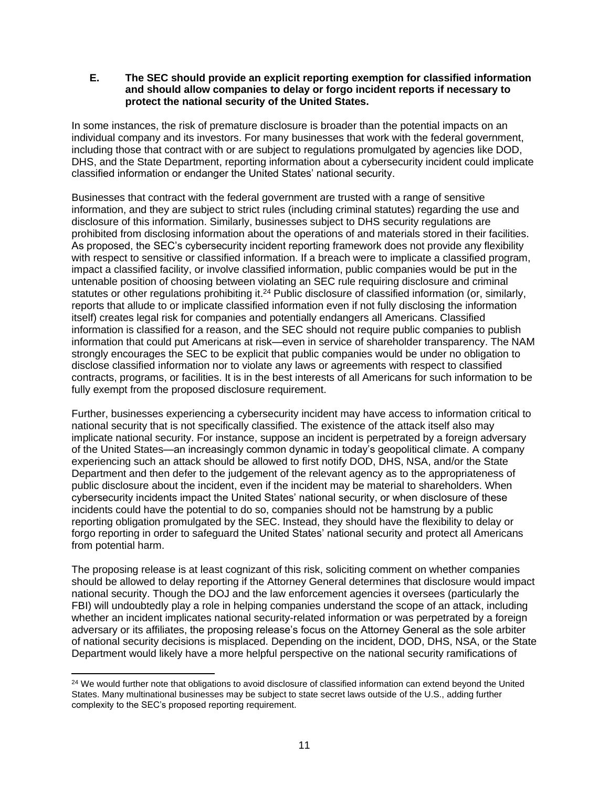#### **E. The SEC should provide an explicit reporting exemption for classified information and should allow companies to delay or forgo incident reports if necessary to protect the national security of the United States.**

In some instances, the risk of premature disclosure is broader than the potential impacts on an individual company and its investors. For many businesses that work with the federal government, including those that contract with or are subject to regulations promulgated by agencies like DOD, DHS, and the State Department, reporting information about a cybersecurity incident could implicate classified information or endanger the United States' national security.

Businesses that contract with the federal government are trusted with a range of sensitive information, and they are subject to strict rules (including criminal statutes) regarding the use and disclosure of this information. Similarly, businesses subject to DHS security regulations are prohibited from disclosing information about the operations of and materials stored in their facilities. As proposed, the SEC's cybersecurity incident reporting framework does not provide any flexibility with respect to sensitive or classified information. If a breach were to implicate a classified program, impact a classified facility, or involve classified information, public companies would be put in the untenable position of choosing between violating an SEC rule requiring disclosure and criminal statutes or other regulations prohibiting it.<sup>24</sup> Public disclosure of classified information (or, similarly, reports that allude to or implicate classified information even if not fully disclosing the information itself) creates legal risk for companies and potentially endangers all Americans. Classified information is classified for a reason, and the SEC should not require public companies to publish information that could put Americans at risk—even in service of shareholder transparency. The NAM strongly encourages the SEC to be explicit that public companies would be under no obligation to disclose classified information nor to violate any laws or agreements with respect to classified contracts, programs, or facilities. It is in the best interests of all Americans for such information to be fully exempt from the proposed disclosure requirement.

Further, businesses experiencing a cybersecurity incident may have access to information critical to national security that is not specifically classified. The existence of the attack itself also may implicate national security. For instance, suppose an incident is perpetrated by a foreign adversary of the United States—an increasingly common dynamic in today's geopolitical climate. A company experiencing such an attack should be allowed to first notify DOD, DHS, NSA, and/or the State Department and then defer to the judgement of the relevant agency as to the appropriateness of public disclosure about the incident, even if the incident may be material to shareholders. When cybersecurity incidents impact the United States' national security, or when disclosure of these incidents could have the potential to do so, companies should not be hamstrung by a public reporting obligation promulgated by the SEC. Instead, they should have the flexibility to delay or forgo reporting in order to safeguard the United States' national security and protect all Americans from potential harm.

The proposing release is at least cognizant of this risk, soliciting comment on whether companies should be allowed to delay reporting if the Attorney General determines that disclosure would impact national security. Though the DOJ and the law enforcement agencies it oversees (particularly the FBI) will undoubtedly play a role in helping companies understand the scope of an attack, including whether an incident implicates national security-related information or was perpetrated by a foreign adversary or its affiliates, the proposing release's focus on the Attorney General as the sole arbiter of national security decisions is misplaced. Depending on the incident, DOD, DHS, NSA, or the State Department would likely have a more helpful perspective on the national security ramifications of

<sup>&</sup>lt;sup>24</sup> We would further note that obligations to avoid disclosure of classified information can extend beyond the United States. Many multinational businesses may be subject to state secret laws outside of the U.S., adding further complexity to the SEC's proposed reporting requirement.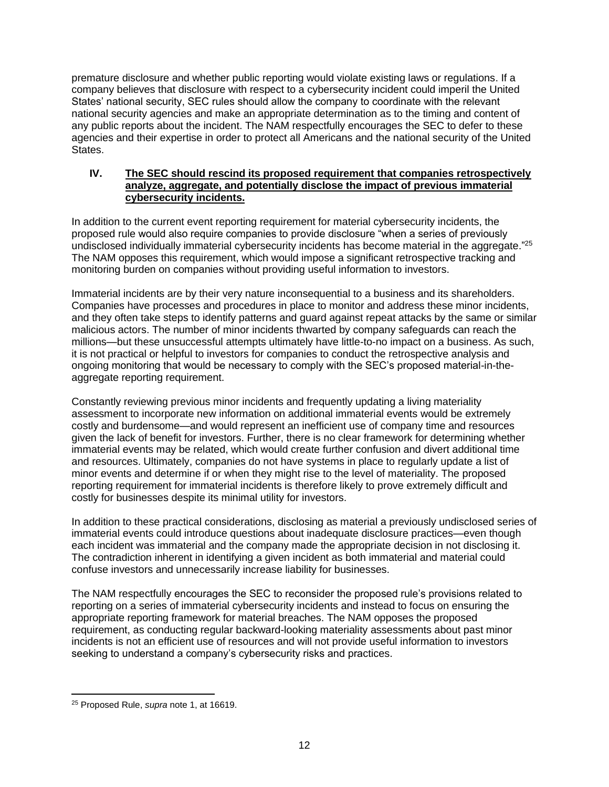premature disclosure and whether public reporting would violate existing laws or regulations. If a company believes that disclosure with respect to a cybersecurity incident could imperil the United States' national security, SEC rules should allow the company to coordinate with the relevant national security agencies and make an appropriate determination as to the timing and content of any public reports about the incident. The NAM respectfully encourages the SEC to defer to these agencies and their expertise in order to protect all Americans and the national security of the United States.

### **IV. The SEC should rescind its proposed requirement that companies retrospectively analyze, aggregate, and potentially disclose the impact of previous immaterial cybersecurity incidents.**

In addition to the current event reporting requirement for material cybersecurity incidents, the proposed rule would also require companies to provide disclosure "when a series of previously undisclosed individually immaterial cybersecurity incidents has become material in the aggregate."<sup>25</sup> The NAM opposes this requirement, which would impose a significant retrospective tracking and monitoring burden on companies without providing useful information to investors.

Immaterial incidents are by their very nature inconsequential to a business and its shareholders. Companies have processes and procedures in place to monitor and address these minor incidents, and they often take steps to identify patterns and guard against repeat attacks by the same or similar malicious actors. The number of minor incidents thwarted by company safeguards can reach the millions—but these unsuccessful attempts ultimately have little-to-no impact on a business. As such, it is not practical or helpful to investors for companies to conduct the retrospective analysis and ongoing monitoring that would be necessary to comply with the SEC's proposed material-in-theaggregate reporting requirement.

Constantly reviewing previous minor incidents and frequently updating a living materiality assessment to incorporate new information on additional immaterial events would be extremely costly and burdensome—and would represent an inefficient use of company time and resources given the lack of benefit for investors. Further, there is no clear framework for determining whether immaterial events may be related, which would create further confusion and divert additional time and resources. Ultimately, companies do not have systems in place to regularly update a list of minor events and determine if or when they might rise to the level of materiality. The proposed reporting requirement for immaterial incidents is therefore likely to prove extremely difficult and costly for businesses despite its minimal utility for investors.

In addition to these practical considerations, disclosing as material a previously undisclosed series of immaterial events could introduce questions about inadequate disclosure practices—even though each incident was immaterial and the company made the appropriate decision in not disclosing it. The contradiction inherent in identifying a given incident as both immaterial and material could confuse investors and unnecessarily increase liability for businesses.

The NAM respectfully encourages the SEC to reconsider the proposed rule's provisions related to reporting on a series of immaterial cybersecurity incidents and instead to focus on ensuring the appropriate reporting framework for material breaches. The NAM opposes the proposed requirement, as conducting regular backward-looking materiality assessments about past minor incidents is not an efficient use of resources and will not provide useful information to investors seeking to understand a company's cybersecurity risks and practices.

<sup>25</sup> Proposed Rule, *supra* note 1, at 16619.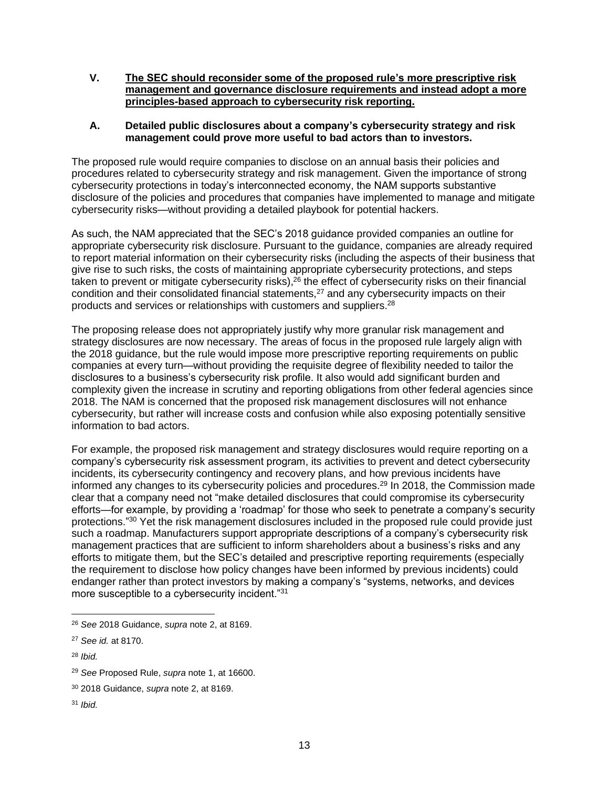**V. The SEC should reconsider some of the proposed rule's more prescriptive risk management and governance disclosure requirements and instead adopt a more principles-based approach to cybersecurity risk reporting.**

### **A. Detailed public disclosures about a company's cybersecurity strategy and risk management could prove more useful to bad actors than to investors.**

The proposed rule would require companies to disclose on an annual basis their policies and procedures related to cybersecurity strategy and risk management. Given the importance of strong cybersecurity protections in today's interconnected economy, the NAM supports substantive disclosure of the policies and procedures that companies have implemented to manage and mitigate cybersecurity risks—without providing a detailed playbook for potential hackers.

As such, the NAM appreciated that the SEC's 2018 guidance provided companies an outline for appropriate cybersecurity risk disclosure. Pursuant to the guidance, companies are already required to report material information on their cybersecurity risks (including the aspects of their business that give rise to such risks, the costs of maintaining appropriate cybersecurity protections, and steps taken to prevent or mitigate cybersecurity risks),<sup>26</sup> the effect of cybersecurity risks on their financial condition and their consolidated financial statements,<sup>27</sup> and any cybersecurity impacts on their products and services or relationships with customers and suppliers.<sup>28</sup>

The proposing release does not appropriately justify why more granular risk management and strategy disclosures are now necessary. The areas of focus in the proposed rule largely align with the 2018 guidance, but the rule would impose more prescriptive reporting requirements on public companies at every turn—without providing the requisite degree of flexibility needed to tailor the disclosures to a business's cybersecurity risk profile. It also would add significant burden and complexity given the increase in scrutiny and reporting obligations from other federal agencies since 2018. The NAM is concerned that the proposed risk management disclosures will not enhance cybersecurity, but rather will increase costs and confusion while also exposing potentially sensitive information to bad actors.

For example, the proposed risk management and strategy disclosures would require reporting on a company's cybersecurity risk assessment program, its activities to prevent and detect cybersecurity incidents, its cybersecurity contingency and recovery plans, and how previous incidents have informed any changes to its cybersecurity policies and procedures. <sup>29</sup> In 2018, the Commission made clear that a company need not "make detailed disclosures that could compromise its cybersecurity efforts—for example, by providing a 'roadmap' for those who seek to penetrate a company's security protections." <sup>30</sup> Yet the risk management disclosures included in the proposed rule could provide just such a roadmap. Manufacturers support appropriate descriptions of a company's cybersecurity risk management practices that are sufficient to inform shareholders about a business's risks and any efforts to mitigate them, but the SEC's detailed and prescriptive reporting requirements (especially the requirement to disclose how policy changes have been informed by previous incidents) could endanger rather than protect investors by making a company's "systems, networks, and devices more susceptible to a cybersecurity incident."<sup>31</sup>

<sup>26</sup> *See* 2018 Guidance, *supra* note 2, at 8169.

<sup>27</sup> *See id.* at 8170.

<sup>28</sup> *Ibid.*

<sup>29</sup> *See* Proposed Rule, *supra* note 1, at 16600.

<sup>30</sup> 2018 Guidance, *supra* note 2, at 8169.

<sup>31</sup> *Ibid.*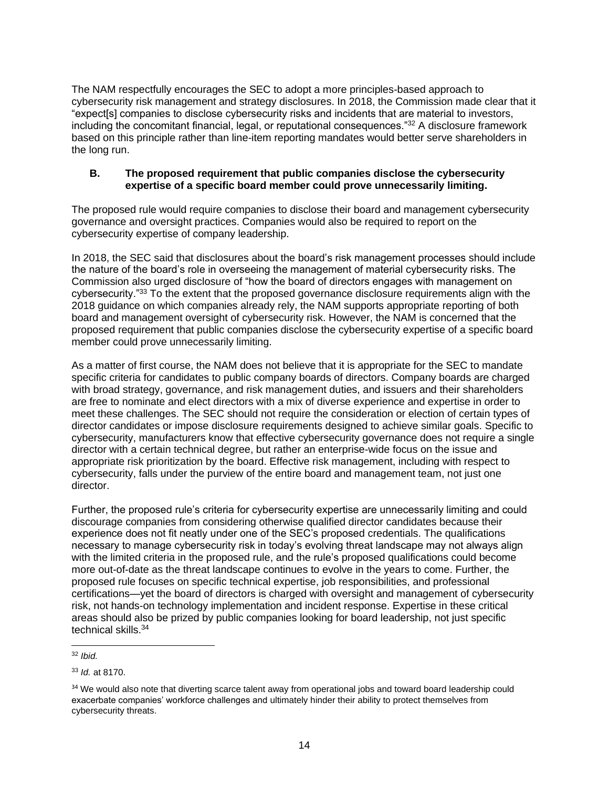The NAM respectfully encourages the SEC to adopt a more principles-based approach to cybersecurity risk management and strategy disclosures. In 2018, the Commission made clear that it "expect[s] companies to disclose cybersecurity risks and incidents that are material to investors, including the concomitant financial, legal, or reputational consequences."<sup>32</sup> A disclosure framework based on this principle rather than line-item reporting mandates would better serve shareholders in the long run.

# **B. The proposed requirement that public companies disclose the cybersecurity expertise of a specific board member could prove unnecessarily limiting.**

The proposed rule would require companies to disclose their board and management cybersecurity governance and oversight practices. Companies would also be required to report on the cybersecurity expertise of company leadership.

In 2018, the SEC said that disclosures about the board's risk management processes should include the nature of the board's role in overseeing the management of material cybersecurity risks. The Commission also urged disclosure of "how the board of directors engages with management on cybersecurity."<sup>33</sup> To the extent that the proposed governance disclosure requirements align with the 2018 guidance on which companies already rely, the NAM supports appropriate reporting of both board and management oversight of cybersecurity risk. However, the NAM is concerned that the proposed requirement that public companies disclose the cybersecurity expertise of a specific board member could prove unnecessarily limiting.

As a matter of first course, the NAM does not believe that it is appropriate for the SEC to mandate specific criteria for candidates to public company boards of directors. Company boards are charged with broad strategy, governance, and risk management duties, and issuers and their shareholders are free to nominate and elect directors with a mix of diverse experience and expertise in order to meet these challenges. The SEC should not require the consideration or election of certain types of director candidates or impose disclosure requirements designed to achieve similar goals. Specific to cybersecurity, manufacturers know that effective cybersecurity governance does not require a single director with a certain technical degree, but rather an enterprise-wide focus on the issue and appropriate risk prioritization by the board. Effective risk management, including with respect to cybersecurity, falls under the purview of the entire board and management team, not just one director.

Further, the proposed rule's criteria for cybersecurity expertise are unnecessarily limiting and could discourage companies from considering otherwise qualified director candidates because their experience does not fit neatly under one of the SEC's proposed credentials. The qualifications necessary to manage cybersecurity risk in today's evolving threat landscape may not always align with the limited criteria in the proposed rule, and the rule's proposed qualifications could become more out-of-date as the threat landscape continues to evolve in the years to come. Further, the proposed rule focuses on specific technical expertise, job responsibilities, and professional certifications—yet the board of directors is charged with oversight and management of cybersecurity risk, not hands-on technology implementation and incident response. Expertise in these critical areas should also be prized by public companies looking for board leadership, not just specific technical skills.<sup>34</sup>

<sup>32</sup> *Ibid.*

<sup>33</sup> *Id.* at 8170.

<sup>&</sup>lt;sup>34</sup> We would also note that diverting scarce talent away from operational jobs and toward board leadership could exacerbate companies' workforce challenges and ultimately hinder their ability to protect themselves from cybersecurity threats.